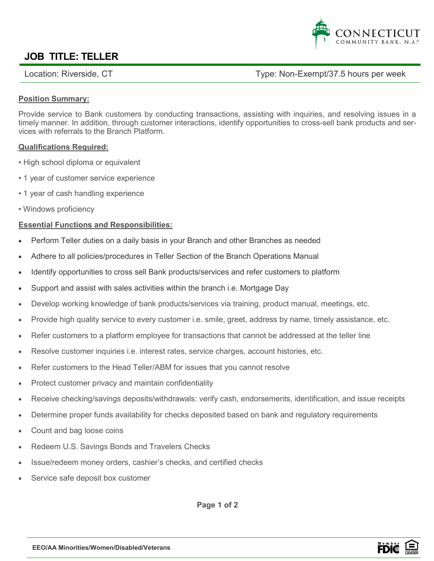

## **JOB TITLE: TELLER**

Location: Riverside, CT https://www.flocation: Riverside, CT hours per week

#### **Position Summary:**

Provide service to Bank customers by conducting transactions, assisting with inquiries, and resolving issues in a timely manner. In addition, through customer interactions, identify opportunities to cross-sell bank products and services with referrals to the Branch Platform.

#### **Qualifications Required:**

- High school diploma or equivalent
- 1 year of customer service experience
- 1 year of cash handling experience
- Windows proficiency

#### **Essential Functions and Responsibilities:**

- Perform Teller duties on a daily basis in your Branch and other Branches as needed
- Adhere to all policies/procedures in Teller Section of the Branch Operations Manual
- Identify opportunities to cross sell Bank products/services and refer customers to platform
- Support and assist with sales activities within the branch i.e. Mortgage Day
- Develop working knowledge of bank products/services via training, product manual, meetings, etc.
- Provide high quality service to every customer i.e. smile, greet, address by name, timely assistance, etc.
- Refer customers to a platform employee for transactions that cannot be addressed at the teller line
- Resolve customer inquiries i.e. interest rates, service charges, account histories, etc.
- Refer customers to the Head Teller/ABM for issues that you cannot resolve
- Protect customer privacy and maintain confidentiality
- Receive checking/savings deposits/withdrawals: verify cash, endorsements, identification, and issue receipts
- Determine proper funds availability for checks deposited based on bank and regulatory requirements
- Count and bag loose coins
- Redeem U.S. Savings Bonds and Travelers Checks
- Issue/redeem money orders, cashier's checks, and certified checks
- Service safe deposit box customer

**Page 1 of 2**